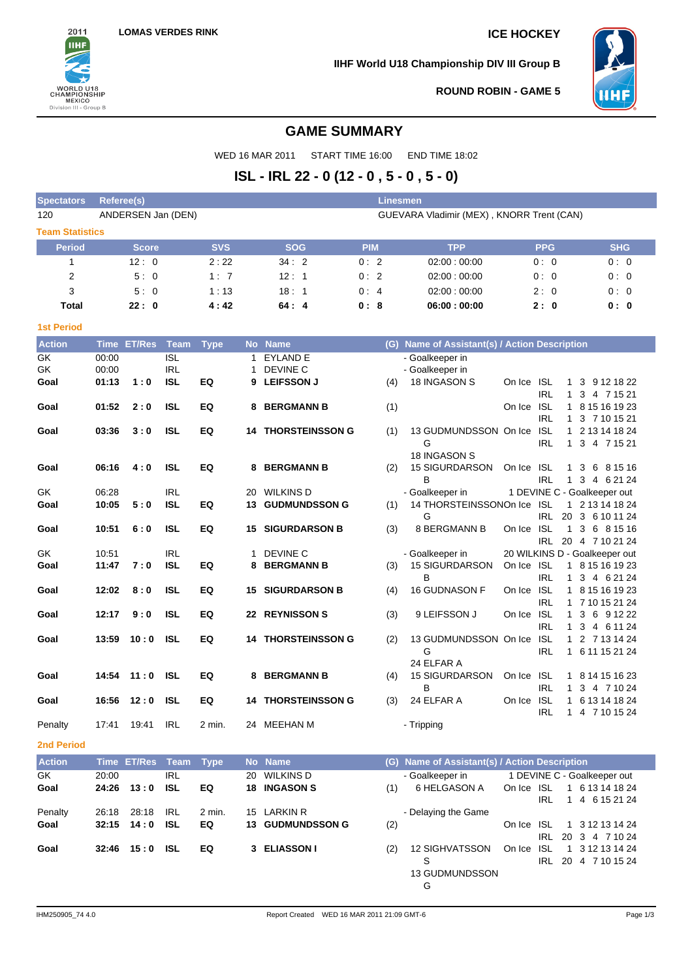

**IIHF World U18 Championship DIV III Group B**



**ROUND ROBIN - GAME 5**

# **GAME SUMMARY**

WED 16 MAR 2011 START TIME 16:00 END TIME 18:02

# **ISL - IRL 22 - 0 (12 - 0 , 5 - 0 , 5 - 0)**

| <b>Spectators</b>      | <b>Linesmen</b><br>Referee(s) |                    |                           |             |                 |                                 |                           |            |     |                                               |            |                          |                                                      |                                 |  |
|------------------------|-------------------------------|--------------------|---------------------------|-------------|-----------------|---------------------------------|---------------------------|------------|-----|-----------------------------------------------|------------|--------------------------|------------------------------------------------------|---------------------------------|--|
| 120                    |                               | ANDERSEN Jan (DEN) |                           |             |                 |                                 |                           |            |     | GUEVARA Vladimir (MEX), KNORR Trent (CAN)     |            |                          |                                                      |                                 |  |
| <b>Team Statistics</b> |                               |                    |                           |             |                 |                                 |                           |            |     |                                               |            |                          |                                                      |                                 |  |
| <b>Period</b>          |                               | <b>Score</b>       |                           | <b>SVS</b>  |                 | <b>SOG</b>                      |                           | <b>PIM</b> |     | <b>TPP</b>                                    |            | <b>PPG</b>               |                                                      | <b>SHG</b>                      |  |
| 1                      |                               | 12:0               |                           | 2:22        |                 | 34:2                            |                           | 0:2        |     | 02:00:00:00                                   |            | 0:0                      |                                                      | 0:0                             |  |
| 2                      |                               | 5:0                |                           | 1:7         |                 | 12:1                            |                           | 0:2        |     | 02:00:00:00                                   |            | 0:0                      |                                                      | 0:0                             |  |
| 3                      |                               | 5:0                |                           | 1:13        |                 | 18:1                            |                           | 0:4        |     | 02:00:00:00                                   |            | 2:0                      |                                                      | 0:0                             |  |
| <b>Total</b>           |                               | 22:0               |                           | 4:42        |                 | 64:4                            |                           | 0:8        |     | 06:00:00:00                                   |            | 2:0                      |                                                      | 0: 0                            |  |
| <b>1st Period</b>      |                               |                    |                           |             |                 |                                 |                           |            |     |                                               |            |                          |                                                      |                                 |  |
| <b>Action</b>          |                               | Time ET/Res        | Team                      | <b>Type</b> |                 | No Name                         |                           |            |     | (G) Name of Assistant(s) / Action Description |            |                          |                                                      |                                 |  |
| GK                     | 00:00                         |                    | <b>ISL</b>                |             | 1               | <b>EYLAND E</b>                 |                           |            |     | - Goalkeeper in                               |            |                          |                                                      |                                 |  |
| GK                     | 00:00                         |                    | IRL                       |             |                 | DEVINE C                        |                           |            |     | - Goalkeeper in                               |            |                          |                                                      |                                 |  |
| Goal                   | 01:13                         | 1:0                | ISL                       | EQ          |                 | 9 LEIFSSON J                    |                           |            | (4) | 18 INGASON S                                  | On Ice     | ISL                      | 1                                                    | 3 9 12 18 22                    |  |
| Goal                   | 01:52                         | 2:0                | <b>ISL</b>                | EQ          | 8               | <b>BERGMANN B</b>               |                           |            | (1) |                                               | On Ice     | <b>IRL</b><br><b>ISL</b> | $\mathbf{1}$                                         | 3 4 7 15 21<br>1 8 15 16 19 23  |  |
|                        |                               |                    |                           |             |                 |                                 |                           |            |     |                                               |            | <b>IRL</b>               |                                                      | 1 3 7 10 15 21                  |  |
| Goal                   | 03:36                         | 3:0                | <b>ISL</b>                | EQ          |                 |                                 | <b>14 THORSTEINSSON G</b> |            | (1) | 13 GUDMUNDSSON On Ice                         |            | <b>ISL</b>               |                                                      | 1 2 13 14 18 24                 |  |
|                        |                               |                    |                           |             |                 |                                 |                           |            |     | G                                             |            | IRL                      | $\mathbf{1}$                                         | 3 4 7 15 21                     |  |
|                        |                               |                    |                           |             |                 |                                 |                           |            |     | 18 INGASON S                                  |            |                          |                                                      |                                 |  |
| Goal                   | 06:16                         | 4:0                | <b>ISL</b>                | EQ          |                 | 8 BERGMANN B                    |                           |            | (2) | <b>15 SIGURDARSON</b><br>B                    | On Ice ISL |                          |                                                      | 1 3 6 8 15 16                   |  |
| GK                     | 06:28                         |                    | <b>IRL</b>                |             |                 | 20 WILKINS D                    |                           |            |     | - Goalkeeper in                               |            | IRL                      | 1 DEVINE C - Goalkeeper out                          | 1 3 4 6 21 24                   |  |
| Goal                   | 10:05                         | 5:0                | <b>ISL</b>                | EQ          |                 |                                 | <b>13 GUDMUNDSSON G</b>   |            | (1) | 14 THORSTEINSSONOn Ice ISL                    |            |                          |                                                      | 1 2 13 14 18 24                 |  |
|                        |                               |                    |                           |             |                 |                                 |                           |            |     | G                                             |            |                          | IRL 20 3 6 10 11 24                                  |                                 |  |
| Goal                   | 10:51                         | 6:0                | ISL                       | EQ          | 15              |                                 | <b>SIGURDARSON B</b>      |            | (3) | <b>8 BERGMANN B</b>                           | On Ice ISL |                          |                                                      | 1 3 6 8 15 16                   |  |
| GK                     | 10:51                         |                    | <b>IRL</b>                |             |                 | DEVINE C                        |                           |            |     | - Goalkeeper in                               |            |                          | IRL 20 4 7 10 21 24<br>20 WILKINS D - Goalkeeper out |                                 |  |
| Goal                   | 11:47                         | 7:0                | <b>ISL</b>                | EQ          | 8               | <b>BERGMANN B</b>               |                           |            | (3) | <b>15 SIGURDARSON</b>                         | On Ice ISL |                          |                                                      | 1 8 15 16 19 23                 |  |
|                        |                               |                    |                           |             |                 |                                 |                           |            |     | B                                             |            | IRL                      |                                                      | 1 3 4 6 21 24                   |  |
| Goal                   | 12:02                         | 8:0                | <b>ISL</b>                | EQ          |                 |                                 | <b>15 SIGURDARSON B</b>   |            | (4) | 16 GUDNASON F                                 | On Ice ISL |                          |                                                      | 1 8 15 16 19 23                 |  |
|                        |                               |                    |                           |             |                 |                                 |                           |            |     |                                               |            | <b>IRL</b>               |                                                      | 1 7 10 15 21 24                 |  |
| Goal                   | 12:17                         | 9:0                | <b>ISL</b>                | EQ          |                 | <b>22 REYNISSON S</b>           |                           |            | (3) | 9 LEIFSSON J                                  | On Ice     | <b>ISL</b>               |                                                      | 1 3 6 9 12 22                   |  |
| Goal                   | 13:59                         | 10:0               | <b>ISL</b>                | EQ          |                 |                                 | <b>14 THORSTEINSSON G</b> |            | (2) | 13 GUDMUNDSSON On Ice                         |            | <b>IRL</b><br><b>ISL</b> |                                                      | 1 3 4 6 11 24<br>1 2 7 13 14 24 |  |
|                        |                               |                    |                           |             |                 |                                 |                           |            |     | G                                             |            | IRL                      |                                                      | 1 6 11 15 21 24                 |  |
|                        |                               |                    |                           |             |                 |                                 |                           |            |     | 24 ELFAR A                                    |            |                          |                                                      |                                 |  |
| Goal                   | 14:54                         | 11:0               | <b>ISL</b>                | EQ          | 8               | <b>BERGMANN B</b>               |                           |            | (4) | <b>15 SIGURDARSON</b>                         | On Ice ISL |                          |                                                      | 1 8 14 15 16 23                 |  |
|                        |                               |                    |                           |             |                 |                                 |                           |            |     | B                                             |            | <b>IRL</b>               | $\mathbf{1}$                                         | 3 4 7 10 24                     |  |
| Goal                   | 16:56                         | 12:0               | ISL                       | EQ          |                 |                                 | <b>14 THORSTEINSSON G</b> |            | (3) | 24 ELFAR A                                    | On Ice ISL | <b>IRL</b>               | 1 4 7 10 15 24                                       | 1 6 13 14 18 24                 |  |
| Penalty                | 17:41                         | 19:41              | <b>IRL</b>                | 2 min.      |                 | 24 MEEHAN M                     |                           |            |     | - Tripping                                    |            |                          |                                                      |                                 |  |
| <b>2nd Period</b>      |                               |                    |                           |             |                 |                                 |                           |            |     |                                               |            |                          |                                                      |                                 |  |
|                        |                               |                    |                           |             |                 |                                 |                           |            |     | Name of Assistant(s) / Action Description     |            |                          |                                                      |                                 |  |
| <b>Action</b><br>GK    | <b>Time</b><br>20:00          | <b>ET/Res</b>      | <b>Team</b><br><b>IRL</b> | <b>Type</b> | <b>No</b><br>20 | <b>Name</b><br><b>WILKINS D</b> |                           |            | (G) | - Goalkeeper in                               |            |                          | 1 DEVINE C - Goalkeeper out                          |                                 |  |
| Goal                   | 24:26                         | 13:0               | <b>ISL</b>                | EQ          | 18              | <b>INGASON S</b>                |                           |            | (1) | 6 HELGASON A                                  | On Ice ISL |                          |                                                      | 1 6 13 14 18 24                 |  |
|                        |                               |                    |                           |             |                 |                                 |                           |            |     |                                               |            | <b>IRL</b>               |                                                      | 1 4 6 15 21 24                  |  |
| Penalty                | 26:18                         | 28:18              | <b>IRL</b>                | 2 min.      |                 | 15 LARKIN R                     |                           |            |     | - Delaying the Game                           |            |                          |                                                      |                                 |  |
| Goal                   | 32:15                         | 14:0               | <b>ISL</b>                | EQ          |                 |                                 | 13 GUDMUNDSSON G          |            | (2) |                                               | On Ice ISL |                          |                                                      | 1 3 12 13 14 24                 |  |
|                        |                               |                    |                           |             |                 |                                 |                           |            |     |                                               |            | IRL                      | 20 3 4 7 10 24                                       |                                 |  |

S

G

13 GUDMUNDSSON

**Goal 32:46 15 : 0 ISL EQ 3 ELIASSON I** (2) 12 SIGHVATSSON

On Ice ISL 1 3 12 13 14 24 IRL 20 4 7 10 15 24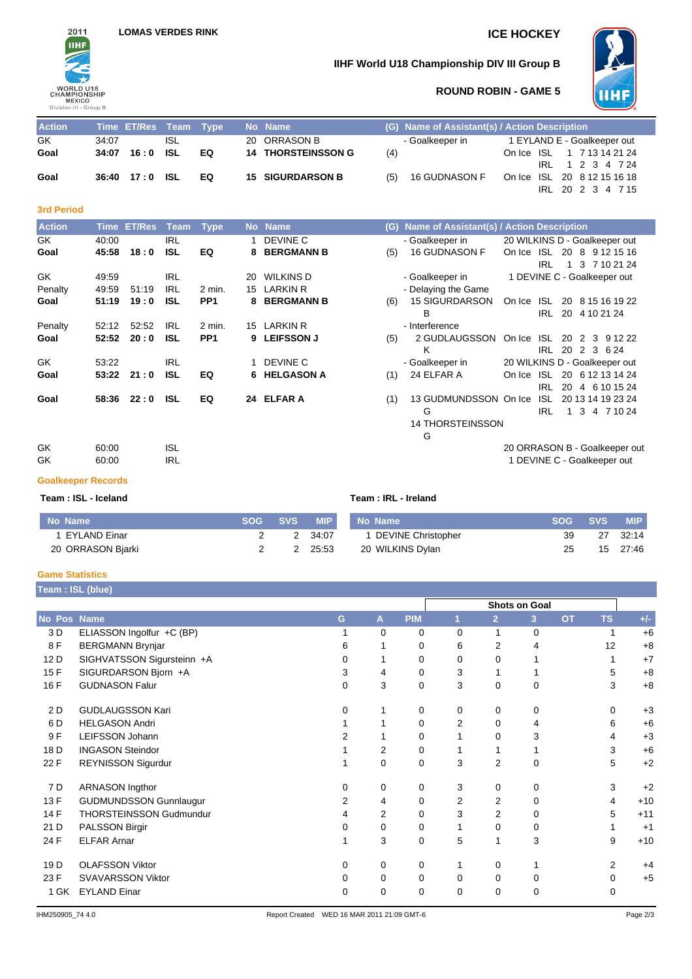

## **IIHF World U18 Championship DIV III Group B**



## **ROUND ROBIN - GAME 5**

| <b>Action</b> |       | Time ET/Res Team Type |     |    | No Name                   |     | (G) Name of Assistant(s) / Action Description |                             |                  |  |                   |
|---------------|-------|-----------------------|-----|----|---------------------------|-----|-----------------------------------------------|-----------------------------|------------------|--|-------------------|
| GK            | 34:07 |                       | ISL |    | 20 ORRASON B              |     | - Goalkeeper in                               | 1 EYLAND E - Goalkeeper out |                  |  |                   |
| Goal          |       | 34:07 16:0 ISL        |     | EQ | <b>14 THORSTEINSSON G</b> | (4) |                                               | On Ice ISL 1 7 13 14 21 24  |                  |  |                   |
|               |       |                       |     |    |                           |     |                                               |                             | IRL 1 2 3 4 7 24 |  |                   |
| Goal          |       | 36:40 17:0 ISL        |     | EQ | <b>15 SIGURDARSON B</b>   | (5) | 16 GUDNASON F                                 | On Ice ISL 20 8 12 15 16 18 |                  |  |                   |
|               |       |                       |     |    |                           |     |                                               |                             |                  |  | IRL 20 2 3 4 7 15 |

### **3rd Period**

| <b>Action</b> | <b>Time</b> | <b>ET/Res</b> | Team       | <b>Type</b>     | <b>No</b> | <b>Name</b>         | (G) | Name of Assistant(s) / Action Description |        |                 |                               |  |
|---------------|-------------|---------------|------------|-----------------|-----------|---------------------|-----|-------------------------------------------|--------|-----------------|-------------------------------|--|
| GK.           | 40:00       |               | <b>IRL</b> |                 |           | DEVINE C            |     | - Goalkeeper in                           |        |                 | 20 WILKINS D - Goalkeeper out |  |
| Goal          | 45:58       | 18:0          | <b>ISL</b> | EQ              | 8         | <b>BERGMANN B</b>   | (5) | <b>16 GUDNASON F</b>                      | On Ice | ISL             | 20 8 9 12 15 16               |  |
|               |             |               |            |                 |           |                     |     |                                           |        | <b>IRL</b>      | 3 7 10 21 24                  |  |
| GK            | 49:59       |               | IRL        |                 | 20        | <b>WILKINS D</b>    |     | - Goalkeeper in                           |        |                 | 1 DEVINE C - Goalkeeper out   |  |
| Penalty       | 49:59       | 51:19         | <b>IRL</b> | $2$ min.        | 15        | <b>LARKIN R</b>     |     | - Delaying the Game                       |        |                 |                               |  |
| Goal          | 51:19       | 19:0          | <b>ISL</b> | PP <sub>1</sub> |           | <b>8 BERGMANN B</b> | (6) | <b>15 SIGURDARSON</b>                     | On Ice | ISL.            | 20 8 15 16 19 22              |  |
|               |             |               |            |                 |           |                     |     | B                                         |        | IRL.<br>20      | 4 10 21 24                    |  |
| Penalty       | 52:12       | 52:52         | <b>IRL</b> | 2 min.          | 15        | LARKIN R            |     | - Interference                            |        |                 |                               |  |
| Goal          | 52:52       | 20:0          | <b>ISL</b> | PP <sub>1</sub> | 9.        | <b>LEIFSSON J</b>   | (5) | 2 GUDLAUGSSON                             | On Ice | ISL.<br>20      | 2 3<br>9 12 22                |  |
|               |             |               |            |                 |           |                     |     | Κ                                         |        | 20<br>IRL.      | 2 3 6 24                      |  |
| GK            | 53:22       |               | <b>IRL</b> |                 |           | DEVINE C            |     | - Goalkeeper in                           |        |                 | 20 WILKINS D - Goalkeeper out |  |
| Goal          | 53:22       | 21:0          | <b>ISL</b> | EQ              |           | 6 HELGASON A        | (1) | 24 ELFAR A                                | On Ice | ISL I           | 20 6 12 13 14 24              |  |
|               |             |               |            |                 |           |                     |     |                                           |        | IRL.<br>20      | 4 6 10 15 24                  |  |
| Goal          | 58:36       | 22:0          | <b>ISL</b> | EQ              |           | 24 ELFAR A          | (1) | 13 GUDMUNDSSON On Ice                     |        | ISL.            | 20 13 14 19 23 24             |  |
|               |             |               |            |                 |           |                     |     | G                                         |        | <b>IRL</b><br>1 | 3<br>4 7 10 24                |  |
|               |             |               |            |                 |           |                     |     | <b>14 THORSTEINSSON</b>                   |        |                 |                               |  |
|               |             |               |            |                 |           |                     |     | G                                         |        |                 |                               |  |
| GK            | 60:00       |               | <b>ISL</b> |                 |           |                     |     |                                           |        |                 | 20 ORRASON B - Goalkeeper out |  |
| GK            | 60:00       |               | <b>IRL</b> |                 |           |                     |     |                                           |        |                 | 1 DEVINE C - Goalkeeper out   |  |

#### **Goalkeeper Records**

#### **Team : ISL - Iceland Team : IRL - Ireland**

| No Name           | <b>SOG SVS</b> | <b>MIP</b> | No Name              |    | SOG SVS | <b>MIP</b> |
|-------------------|----------------|------------|----------------------|----|---------|------------|
| EYLAND Einar      |                | 2 34:07    | 1 DEVINE Christopher | 39 |         | 27 32:14   |
| 20 ORRASON Bjarki |                | 2 25:53    | 20 WILKINS Dylan     | 25 |         | 15 27:46   |

#### **Game Statistics**

| Team: ISL (blue) |                                |   |   |            |   |                |               |           |                |       |
|------------------|--------------------------------|---|---|------------|---|----------------|---------------|-----------|----------------|-------|
|                  |                                |   |   |            |   |                | Shots on Goal |           |                |       |
| No Pos           | <b>Name</b>                    | G | A | <b>PIM</b> | 1 | $\overline{2}$ | 3             | <b>OT</b> | <b>TS</b>      | $+/-$ |
| 3 D              | ELIASSON Ingolfur +C (BP)      |   | 0 | 0          | 0 | 1              | 0             |           |                | $+6$  |
| 8F               | <b>BERGMANN Brynjar</b>        | 6 |   | 0          | 6 | 2              | 4             |           | 12             | $+8$  |
| 12 D             | SIGHVATSSON Sigursteinn +A     | 0 |   | 0          | 0 | 0              |               |           |                | $+7$  |
| 15F              | SIGURDARSON Bjorn +A           | 3 | 4 | 0          | 3 |                |               |           | 5              | $+8$  |
| 16 F             | <b>GUDNASON Falur</b>          | 0 | 3 | 0          | 3 | $\mathbf 0$    | 0             |           | 3              | $+8$  |
| 2 D              | <b>GUDLAUGSSON Kari</b>        | 0 |   | 0          | 0 | 0              | 0             |           | $\Omega$       | $+3$  |
| 6 D              | <b>HELGASON Andri</b>          |   |   | 0          | 2 | $\Omega$       | 4             |           | 6              | $+6$  |
| 9F               | LEIFSSON Johann                | 2 |   | 0          |   | $\Omega$       | 3             |           | 4              | $+3$  |
| 18 D             | <b>INGASON Steindor</b>        |   | 2 | 0          |   |                |               |           | 3              | $+6$  |
| 22 F             | REYNISSON Sigurdur             |   | 0 | 0          | 3 | 2              | 0             |           | 5              | $+2$  |
| 7 D              | <b>ARNASON Ingthor</b>         | 0 | 0 | 0          | 3 | 0              | 0             |           | 3              | $+2$  |
| 13 F             | <b>GUDMUNDSSON Gunnlaugur</b>  | 2 | 4 | 0          | 2 | 2              | 0             |           | 4              | $+10$ |
| 14 F             | <b>THORSTEINSSON Gudmundur</b> | 4 | 2 | 0          | 3 | 2              | 0             |           | 5              | $+11$ |
| 21 D             | PALSSON Birgir                 | 0 | 0 | 0          |   | $\mathbf 0$    | 0             |           |                | $+1$  |
| 24 F             | <b>ELFAR Arnar</b>             |   | 3 | 0          | 5 | 1              | 3             |           | 9              | $+10$ |
| 19 <sub>D</sub>  | <b>OLAFSSON Viktor</b>         | 0 | 0 | 0          |   | 0              |               |           | $\overline{2}$ | $+4$  |
| 23 F             | <b>SVAVARSSON Viktor</b>       | 0 | 0 | 0          | 0 | $\mathbf 0$    | 0             |           | 0              | $+5$  |
| 1 GK             | <b>EYLAND Einar</b>            | 0 | 0 | 0          | 0 | 0              | 0             |           | 0              |       |